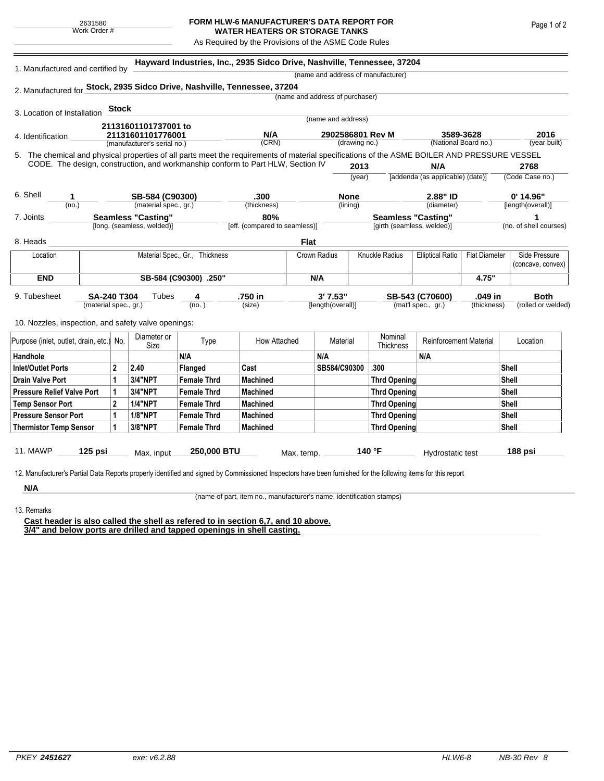## **FORM HLW-6 MANUFACTURER'S DATA REPORT FOR WATER HEATERS OR STORAGE TANKS**

As Required by the Provisions of the ASME Code Rules

| 1. Manufactured and certified by                                                                                                             |                               |                           |                                    |                                | Hayward Industries, Inc., 2935 Sidco Drive, Nashville, Tennessee, 37204 |                                 |                    |                     |                             |                                         |                      |                        |                    |  |
|----------------------------------------------------------------------------------------------------------------------------------------------|-------------------------------|---------------------------|------------------------------------|--------------------------------|-------------------------------------------------------------------------|---------------------------------|--------------------|---------------------|-----------------------------|-----------------------------------------|----------------------|------------------------|--------------------|--|
|                                                                                                                                              |                               |                           | (name and address of manufacturer) |                                |                                                                         |                                 |                    |                     |                             |                                         |                      |                        |                    |  |
| 2. Manufactured for Stock, 2935 Sidco Drive, Nashville, Tennessee, 37204                                                                     |                               |                           |                                    |                                |                                                                         |                                 |                    |                     |                             |                                         |                      |                        |                    |  |
|                                                                                                                                              |                               |                           |                                    |                                |                                                                         | (name and address of purchaser) |                    |                     |                             |                                         |                      |                        |                    |  |
| 3. Location of Installation                                                                                                                  |                               | <b>Stock</b>              |                                    |                                |                                                                         |                                 |                    |                     |                             |                                         |                      |                        |                    |  |
|                                                                                                                                              |                               |                           | 21131601101737001 to               |                                |                                                                         |                                 | (name and address) |                     |                             |                                         |                      |                        |                    |  |
| 4. Identification                                                                                                                            |                               |                           | 21131601101776001                  |                                | N/A                                                                     | 2902586801 Rev M                |                    |                     |                             | 3589-3628                               |                      | 2016                   |                    |  |
|                                                                                                                                              |                               |                           | (manufacturer's serial no.)        |                                | (CRN)                                                                   |                                 | (drawing no.)      |                     |                             | (National Board no.)                    |                      |                        | (year built)       |  |
| 5. The chemical and physical properties of all parts meet the requirements of material specifications of the ASME BOILER AND PRESSURE VESSEL |                               |                           |                                    |                                |                                                                         |                                 |                    |                     |                             |                                         |                      |                        |                    |  |
| CODE. The design, construction, and workmanship conform to Part HLW, Section IV                                                              |                               |                           |                                    |                                |                                                                         |                                 |                    | 2013                |                             | N/A<br>[addenda (as applicable) (date)] |                      | 2768                   |                    |  |
|                                                                                                                                              |                               |                           |                                    |                                |                                                                         |                                 |                    | (year)              |                             |                                         |                      | (Code Case no.)        |                    |  |
| 6. Shell<br>1                                                                                                                                |                               |                           | SB-584 (C90300)                    |                                | .300                                                                    |                                 | <b>None</b>        |                     | 2.88" ID                    |                                         |                      | $0'$ 14.96"            |                    |  |
| (no.)                                                                                                                                        |                               |                           | (material spec., gr.)              |                                | (thickness)                                                             |                                 | (lining)           |                     |                             | (diameter)                              |                      |                        | [length(overall)]  |  |
| 7. Joints                                                                                                                                    |                               | <b>Seamless "Casting"</b> |                                    |                                | 80%                                                                     |                                 |                    |                     |                             | <b>Seamless "Casting"</b>               |                      |                        | 1                  |  |
|                                                                                                                                              |                               |                           | [long. (seamless, welded)]         |                                | [eff. (compared to seamless)]                                           |                                 |                    |                     | [girth (seamless, welded)]  |                                         |                      | (no. of shell courses) |                    |  |
| 8. Heads                                                                                                                                     |                               |                           |                                    |                                |                                                                         | <b>Flat</b>                     |                    |                     |                             |                                         |                      |                        |                    |  |
| Location                                                                                                                                     |                               |                           |                                    | Material Spec., Gr., Thickness |                                                                         | Crown Radius                    |                    |                     | <b>Knuckle Radius</b>       | <b>Elliptical Ratio</b>                 | <b>Flat Diameter</b> |                        | Side Pressure      |  |
|                                                                                                                                              |                               |                           |                                    |                                |                                                                         |                                 |                    |                     |                             |                                         |                      |                        | (concave, convex)  |  |
| <b>END</b><br>SB-584 (C90300) .250"                                                                                                          |                               |                           |                                    |                                | N/A                                                                     |                                 |                    |                     | 4.75"                       |                                         |                      |                        |                    |  |
| 9. Tubesheet                                                                                                                                 | <b>SA-240 T304</b>            |                           | Tubes                              | 4                              | .750 in                                                                 |                                 | 3'7.53"            |                     |                             | SB-543 (C70600)                         | .049 in              |                        | Both               |  |
|                                                                                                                                              | (material spec., gr.)         |                           |                                    | (no.)                          | (size)                                                                  |                                 | [length(overall)]  |                     |                             | (mat'l spec., gr.)                      | (thickness)          |                        | (rolled or welded) |  |
|                                                                                                                                              |                               |                           |                                    |                                |                                                                         |                                 |                    |                     |                             |                                         |                      |                        |                    |  |
| 10. Nozzles, inspection, and safety valve openings:                                                                                          |                               |                           |                                    |                                |                                                                         |                                 |                    |                     |                             |                                         |                      |                        |                    |  |
| Purpose (inlet, outlet, drain, etc.) No.                                                                                                     |                               |                           | Diameter or<br>Size                | Type                           | How Attached                                                            |                                 | Material           |                     | Nominal<br><b>Thickness</b> | <b>Reinforcement Material</b>           |                      | Location               |                    |  |
| Handhole                                                                                                                                     |                               |                           |                                    | N/A                            |                                                                         |                                 | N/A                |                     |                             | N/A                                     |                      |                        |                    |  |
| <b>Inlet/Outlet Ports</b>                                                                                                                    |                               | $\overline{2}$            | 2.40                               | Flanged                        | Cast                                                                    |                                 | SB584/C90300       |                     | .300                        |                                         |                      | <b>Shell</b>           |                    |  |
| <b>Drain Valve Port</b>                                                                                                                      |                               | 1                         | 3/4"NPT                            | <b>Female Thrd</b>             | <b>Machined</b>                                                         |                                 |                    |                     | <b>Thrd Opening</b>         |                                         |                      | Shell                  |                    |  |
| <b>Pressure Relief Valve Port</b>                                                                                                            |                               | 1                         | 3/4"NPT                            | <b>Female Thrd</b>             | <b>Machined</b>                                                         |                                 |                    | <b>Thrd Opening</b> |                             |                                         |                      | <b>Shell</b>           |                    |  |
| <b>Temp Sensor Port</b>                                                                                                                      |                               | $\overline{2}$            | <b>1/4"NPT</b>                     | <b>Female Thrd</b>             | <b>Machined</b>                                                         |                                 |                    |                     | <b>Thrd Opening</b>         |                                         |                      | Shell                  |                    |  |
|                                                                                                                                              | <b>Pressure Sensor Port</b>   |                           | <b>1/8"NPT</b>                     | <b>Female Thrd</b>             | <b>Machined</b>                                                         |                                 |                    | <b>Thrd Opening</b> |                             |                                         |                      | <b>Shell</b>           |                    |  |
|                                                                                                                                              | <b>Thermistor Temp Sensor</b> |                           | 3/8"NPT                            | <b>Female Thrd</b>             | <b>Machined</b>                                                         |                                 |                    |                     | <b>Thrd Opening</b>         |                                         |                      | Shell                  |                    |  |
|                                                                                                                                              |                               | 1                         |                                    |                                |                                                                         |                                 |                    |                     |                             |                                         |                      |                        |                    |  |
| <b>11. MAWP</b>                                                                                                                              | 125 psi                       |                           |                                    | 250,000 BTU                    |                                                                         |                                 |                    |                     | 140 °F                      |                                         |                      | 188 psi                |                    |  |

**N/A** 13. Remarks

(name of part, item no., manufacturer's name, identification stamps)

**Cast header is also called the shell as refered to in section 6,7, and 10 above. 3/4" and below ports are drilled and tapped openings in shell casting.**